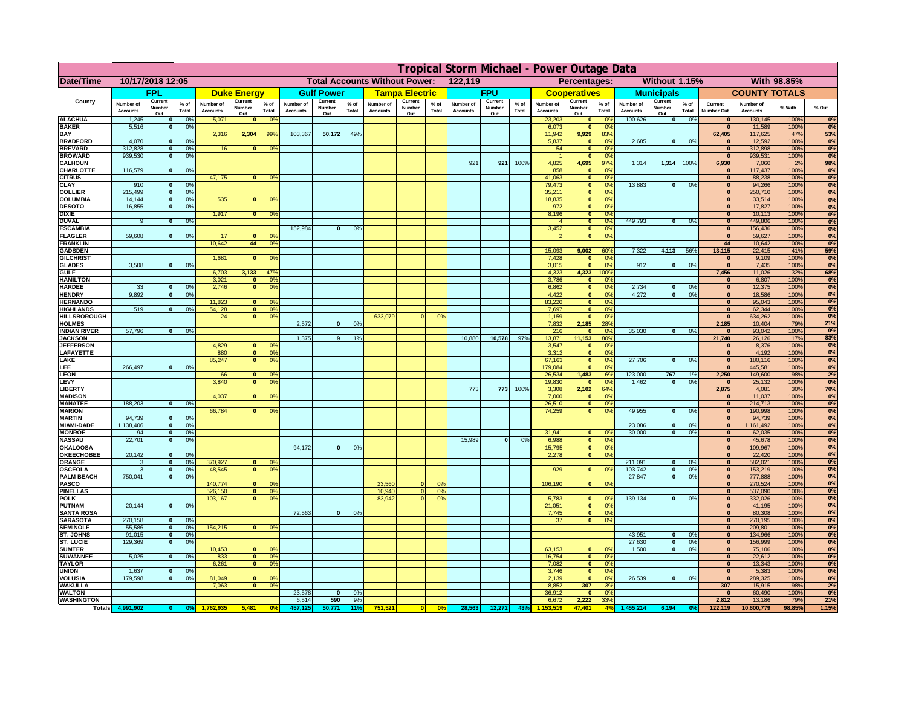|                                         |                              |                              |                                  |                              |                     |                                                         |                              |                     |               |                                      |                       |                 | Tropical Storm Michael - Power Outage Data |                   |                 |                              |                              |                                  |                              |                                  |                 |                              |                              |              |                  |
|-----------------------------------------|------------------------------|------------------------------|----------------------------------|------------------------------|---------------------|---------------------------------------------------------|------------------------------|---------------------|---------------|--------------------------------------|-----------------------|-----------------|--------------------------------------------|-------------------|-----------------|------------------------------|------------------------------|----------------------------------|------------------------------|----------------------------------|-----------------|------------------------------|------------------------------|--------------|------------------|
| Date/Time                               |                              | 10/17/2018 12:05             |                                  |                              |                     |                                                         |                              |                     |               | <b>Total Accounts Without Power:</b> |                       |                 | 122,119                                    |                   |                 |                              | Percentages:                 |                                  |                              | Without 1.15%                    |                 |                              |                              | With 98.85%  |                  |
|                                         |                              | <b>FPL</b>                   |                                  |                              | <b>Duke Energy</b>  |                                                         |                              | <b>Gulf Power</b>   |               |                                      | <b>Tampa Electric</b> |                 |                                            | <b>FPU</b>        |                 |                              | <b>Cooperatives</b>          |                                  |                              | <b>Municipals</b>                |                 |                              | <b>COUNTY TOTALS</b>         |              |                  |
| County                                  | Number of<br><b>Accounts</b> | Current<br>Number            | $%$ of<br>Total                  | Number of<br><b>Accounts</b> | Current<br>Number   | $%$ of<br>Total                                         | Number of<br><b>Accounts</b> | Current<br>Number   | % of<br>Total | Number of<br><b>Accounts</b>         | Current<br>Number     | $%$ of<br>Total | Number of<br>Accounts                      | Current<br>Number | $%$ of<br>Total | Number of<br><b>Accounts</b> | Current<br>Number            | $%$ of<br>Total                  | Number of<br><b>Accounts</b> | Current<br>Number                | $%$ of<br>Total | Current<br><b>Number Out</b> | Number of<br><b>Accounts</b> | % With       | % Out            |
| <b>ALACHUA</b>                          | 1,245                        | Out<br>$\mathbf{0}$          | 0%                               | 5,071                        | Out<br>$\mathbf{0}$ | 0 <sup>9</sup>                                          |                              | Out                 |               |                                      | Out                   |                 |                                            | Out               |                 | 23,203                       | Out<br>$\mathbf{0}$          | $\Omega$ <sup>c</sup>            | 100,626                      | Out<br>$\overline{\mathbf{0}}$   | 0%              | $\bf{0}$                     | 130,145                      | 100%         | 0%               |
| <b>BAKER</b>                            | 5,516                        | $\mathbf{0}$                 | 0%                               |                              |                     |                                                         |                              |                     |               |                                      |                       |                 |                                            |                   |                 | 6,073                        | $\mathbf{0}$                 | 0 <sup>9</sup>                   |                              |                                  |                 | $\bf{0}$                     | 11,589                       | 100%         | 0%               |
| <b>BAY</b><br><b>BRADFORD</b>           | 4,070                        | $\mathbf{0}$                 | 0%                               | 2,316                        | 2,304               | 99%                                                     | 103,367                      | 50,172              | 49%           |                                      |                       |                 |                                            |                   |                 | 11,942<br>5,837              | 9,929<br>$\mathbf{0}$        | 83%<br>0 <sup>9</sup>            | 2,685                        | 0                                | 0%              | 62,405<br>$\bf{0}$           | 117,625<br>12,592            | 47%<br>100%  | 53%<br>0%        |
| <b>BREVARD</b>                          | 312,828                      | $\mathbf{0}$                 | 0%                               | 16                           | $\mathbf{0}$        | 0 <sup>o</sup>                                          |                              |                     |               |                                      |                       |                 |                                            |                   |                 | 54                           | $\mathbf{0}$                 | 0 <sup>9</sup>                   |                              |                                  |                 | $\bf{0}$                     | 312,898                      | 100%         | 0%               |
| <b>BROWARD</b>                          | 939.530                      | $\Omega$                     | 0%                               |                              |                     |                                                         |                              |                     |               |                                      |                       |                 |                                            |                   |                 |                              | $\Omega$                     | 0 <sup>9</sup>                   |                              |                                  |                 | $\mathbf{0}$                 | 939,531                      | 100%         | 0%               |
| <b>CALHOUN</b><br>CHARLOTTE             | 116,579                      | $\mathbf{0}$                 | 0%                               |                              |                     |                                                         |                              |                     |               |                                      |                       |                 | 921                                        | 921               | 100%            | 4,825<br>858                 | 4,695                        | 97%<br>0%                        | 1,314                        | 1,314                            | 100%            | 6,930<br>$\bf{0}$            | 7,060<br>117,437             | 2%<br>100%   | 98%<br>0%        |
| <b>CITRUS</b>                           |                              |                              |                                  | 47,175                       | $\mathbf{0}$        | 0 <sup>o</sup>                                          |                              |                     |               |                                      |                       |                 |                                            |                   |                 | 41,063                       | $\mathbf{0}$                 | $\Omega$ <sup>c</sup>            |                              |                                  |                 | $\bf{0}$                     | 88,238                       | 100%         | 0%               |
| <b>CLAY</b>                             | 910                          | $\mathbf{0}$                 | 0%                               |                              |                     |                                                         |                              |                     |               |                                      |                       |                 |                                            |                   |                 | 79,473                       | $\mathbf{0}$                 | 0 <sup>9</sup>                   | 13,883                       | 0                                | 0%              | $\bf{0}$                     | 94,266                       | 100%         | 0%               |
| <b>COLLIER</b><br><b>COLUMBIA</b>       | 215,499<br>14,144            | $\mathbf{0}$<br>$\mathbf{0}$ | 0 <sup>9</sup><br>0 <sup>9</sup> | 535                          | $\bf{0}$            | 0 <sup>9</sup>                                          |                              |                     |               |                                      |                       |                 |                                            |                   |                 | 35,211<br>18,835             | $\mathbf{0}$<br>$\mathbf{0}$ | 0 <sup>9</sup><br>0 <sup>9</sup> |                              |                                  |                 | $\bf{0}$<br>$\bf{0}$         | 250,710<br>33,514            | 100%<br>100% | 0%<br>0%         |
| <b>DESOTO</b>                           | 16,855                       | $\mathbf{0}$                 | 0%                               |                              |                     |                                                         |                              |                     |               |                                      |                       |                 |                                            |                   |                 | 972                          | $\mathbf{0}$                 | 0 <sup>9</sup>                   |                              |                                  |                 | $\bf{0}$                     | 17,827                       | 100%         | 0%               |
| <b>DIXIE</b><br><b>DUVAL</b>            | 9                            | $\Omega$                     | 0%                               | 1,917                        | $\Omega$            | 0 <sup>9</sup>                                          |                              |                     |               |                                      |                       |                 |                                            |                   |                 | 8,196                        | $\mathbf{0}$<br>$\mathbf{0}$ | 0 <sup>9</sup><br>0 <sup>9</sup> | 449.793                      | $\mathbf{0}$                     | 0%              | $\bf{0}$<br>$\bf{0}$         | 10,113<br>449,806            | 100%<br>100% | 0%<br>0%         |
| <b>ESCAMBIA</b>                         |                              |                              |                                  |                              |                     |                                                         | 152,984                      | 0                   | 0%            |                                      |                       |                 |                                            |                   |                 | 3,452                        | $\mathbf{0}$                 | 0%                               |                              |                                  |                 | $\mathbf{0}$                 | 156,436                      | 100%         | 0%               |
| <b>FLAGLER</b>                          | 59,608                       | $\mathbf{o}$                 | 0%                               | 17                           |                     | 0°                                                      |                              |                     |               |                                      |                       |                 |                                            |                   |                 |                              | $\mathbf{0}$                 | 0%                               |                              |                                  |                 | $\bf{0}$                     | 59,627                       | 100%         | 0%               |
| <b>FRANKLIN</b>                         |                              |                              |                                  | 10,642                       | 44                  | 0 <sup>9</sup>                                          |                              |                     |               |                                      |                       |                 |                                            |                   |                 | 15,093                       |                              |                                  | 7,322                        | 4,113                            | 56%             | 44<br>13,115                 | 10,642<br>22,415             | 100%<br>41%  | 0%<br>59%        |
| <b>GADSDEN</b><br><b>GILCHRIST</b>      |                              |                              |                                  | 1,681                        | $\mathbf{0}$        | 0 <sup>9</sup>                                          |                              |                     |               |                                      |                       |                 |                                            |                   |                 | 7,428                        | 9,002<br>$\mathbf{0}$        | 60%<br>0%                        |                              |                                  |                 | $\bf{0}$                     | 9,109                        | 100%         | 0%               |
| <b>GLADES</b>                           | 3,508                        | $\mathbf{0}$                 | 0%                               |                              |                     |                                                         |                              |                     |               |                                      |                       |                 |                                            |                   |                 | 3,015                        | $\Omega$                     | 0%                               | 912                          | $\mathbf{0}$                     | 0%              | $\overline{0}$               | 7,435                        | 100%         | 0%               |
| <b>GULF</b><br><b>HAMILTON</b>          |                              |                              |                                  | 6,703<br>3,021               | 3,133<br>$\Omega$   | 47%<br>0 <sup>9</sup>                                   |                              |                     |               |                                      |                       |                 |                                            |                   |                 | 4,323                        | 4,323<br>$\Omega$            | 100%                             |                              |                                  |                 | 7,456<br>$\bf{0}$            | 11,026                       | 32%<br>100%  | 68%              |
| <b>HARDEE</b>                           | 33                           | $\mathbf{0}$                 | 0 <sup>9</sup>                   | 2.746                        | $\Omega$            | 0 <sup>9</sup>                                          |                              |                     |               |                                      |                       |                 |                                            |                   |                 | 3,786<br>6,862               | $\mathbf{0}$                 | 0 <sup>9</sup><br>0%             | 2,734                        | $\mathbf{0}$                     | 0%              | $\mathbf{0}$                 | 6,807<br>12,375              | 100%         | 0%<br>0%         |
| <b>HENDRY</b>                           | 9,892                        | $\Omega$                     | 0 <sup>9</sup>                   |                              |                     |                                                         |                              |                     |               |                                      |                       |                 |                                            |                   |                 | 4,422                        | $\Omega$                     | 0%                               | 4,272                        | ol                               | 0%              | 0                            | 18,586                       | 100%         | 0%               |
| <b>HERNANDO</b>                         |                              |                              |                                  | 11,823                       |                     | 0 <sup>9</sup>                                          |                              |                     |               |                                      |                       |                 |                                            |                   |                 | 83,220                       | $\mathbf{0}$                 | 0%                               |                              |                                  |                 | $\mathbf{0}$<br>$\mathbf{0}$ | 95,043                       | 100%         | 0%               |
| <b>HIGHLANDS</b><br><b>HILLSBOROUGH</b> | 519                          | $\mathbf{0}$                 | 0%                               | 54,128<br>24                 |                     | $\mathbf{0}$<br>0 <sup>9</sup><br> 0 <br>0 <sup>9</sup> |                              |                     |               | 633,079                              | $\Omega$              | 0%              |                                            |                   |                 | 7,697<br>1,159               | $\mathbf{0}$<br>$\mathbf{0}$ | 0%<br>0%                         |                              |                                  |                 | $\mathbf{0}$                 | 62,344<br>634,262            | 100%<br>100% | 0%<br>0%         |
| <b>HOLMES</b>                           |                              |                              |                                  |                              |                     |                                                         | 2,572                        | $\Omega$            | 0%            |                                      |                       |                 |                                            |                   |                 | 7,832                        | 2,185                        | 28%                              |                              |                                  |                 | 2,185                        | 10,404                       | 79%          | 21%              |
| <b>INDIAN RIVER</b>                     | 57,796                       | 0I                           | 0%                               |                              |                     |                                                         | 1.375                        | $\mathbf{Q}$        | 1%            |                                      |                       |                 | 10,880                                     |                   | 97%             | 216                          |                              | 0 <sup>9</sup>                   | 35,030                       | $\mathbf{0}$                     | 0%              | $\mathbf{0}$<br>21.740       | 93,042                       | 100%         | 0%               |
| <b>JACKSON</b><br><b>JEFFERSON</b>      |                              |                              |                                  | 4.829                        |                     | n.<br>0 <sup>9</sup>                                    |                              |                     |               |                                      |                       |                 |                                            | 10,578            |                 | 13,871<br>3,547              | 11,153<br>$\Omega$           | 80%<br>0 <sup>9</sup>            |                              |                                  |                 | $\mathbf{0}$                 | 26,126<br>8,376              | 17%<br>100%  | 83%<br>0%        |
| <b>AFAYETTE</b>                         |                              |                              |                                  | 880                          |                     | $\overline{0}$<br>0%                                    |                              |                     |               |                                      |                       |                 |                                            |                   |                 | 3.312                        | $\Omega$                     | 0%                               |                              |                                  |                 | 0                            | 4.192                        | 100%         | 0%               |
| LAKE                                    |                              |                              |                                  | 85,247                       | $\mathbf{0}$        | 0 <sup>9</sup>                                          |                              |                     |               |                                      |                       |                 |                                            |                   |                 | 67,163                       | $\Omega$                     | 0%                               | 27,706                       | n l                              | 0%              | 0                            | 180,116                      | 100%         | 0%               |
| <b>EE</b><br><b>EON</b>                 | 266,497                      |                              | 0%                               | 66                           | $\mathbf{0}$        | 0 <sup>o</sup>                                          |                              |                     |               |                                      |                       |                 |                                            |                   |                 | 179,084<br>26,534            | 1,483                        | 0%<br>6%                         | 123,000                      | 767                              | 1%              | 0 <br>2,250                  | 445,581<br>149,600           | 100%<br>98%  | 0%<br>2%         |
| LEVY                                    |                              |                              |                                  | 3,840                        |                     | 0 <sup>9</sup><br>$\mathbf{0}$                          |                              |                     |               |                                      |                       |                 |                                            |                   |                 | 19,830                       |                              | 0 <sup>9</sup>                   | 1,462                        | $\Omega$                         | 0%              | $\mathbf{0}$                 | 25,132                       | 100%         | 0%               |
| <b>LIBERT</b>                           |                              |                              |                                  |                              |                     |                                                         |                              |                     |               |                                      |                       |                 | 773                                        | 773               | 100%            | 3,308                        | 2,102                        | 64%                              |                              |                                  |                 | 2,875                        | 4,081                        | 30%          | <b>70%</b><br>0% |
| <b>MADISON</b><br><b>MANATEE</b>        | 188,203                      | $\mathbf{0}$                 | 0%                               | 4,037                        |                     | 0 <sup>9</sup>                                          |                              |                     |               |                                      |                       |                 |                                            |                   |                 | 7,000<br>26,510              |                              | 0%<br>0%                         |                              |                                  |                 | $\mathbf{0}$<br> 0           | 11,037<br>214,713            | 100%<br>100% | 0%               |
| <b>MARION</b>                           |                              |                              |                                  | 66,784                       |                     | 0°                                                      |                              |                     |               |                                      |                       |                 |                                            |                   |                 | 74,259                       | $\Omega$                     | 0%                               | 49,955                       | $\mathbf{0}$                     | 0%              | 0                            | 190,998                      | 100%         | 0%               |
| <b>MARTIN</b>                           | 94,739                       | 0                            | 0%                               |                              |                     |                                                         |                              |                     |               |                                      |                       |                 |                                            |                   |                 |                              |                              |                                  |                              |                                  |                 | 0                            | 94,739                       | 100%         | 0%<br>0%         |
| <b>MIAMI-DADE</b><br><b>MONROE</b>      | 1,138,406<br>94              | 0 <br> 0                     | 0%<br>0%                         |                              |                     |                                                         |                              |                     |               |                                      |                       |                 |                                            |                   |                 | 31,941                       |                              | 0 <sup>o</sup>                   | 23,086<br>30,000             | 0 <br>$\Omega$                   | 0%<br>0%        | 0 <br> 0                     | 1,161,492<br>62,035          | 100%<br>100% | 0%               |
| <b>NASSAU</b>                           | 22,701                       | 0                            | 0%                               |                              |                     |                                                         |                              |                     |               |                                      |                       |                 | 15,989                                     | 0                 | 0%              | 6,988                        | $\mathbf{0}$                 | 0 <sup>9</sup>                   |                              |                                  |                 | $\mathbf{0}$                 | 45,678                       | 100%         | 0%               |
| OKALOOS/                                |                              |                              |                                  |                              |                     |                                                         | 94,172                       | $\mathbf{0}$        | 0%            |                                      |                       |                 |                                            |                   |                 | 15,795                       | 0                            | 0%                               |                              |                                  |                 | $\mathbf{0}$                 | 109,967                      | 100%         | 0%               |
| <b>OKEECHOBEE</b><br>ORANGE             | 20,142<br>3                  | 0 <br> 0                     | 0%<br>0%                         | 370,927                      | $\mathbf{0}$        | 0 <sup>o</sup>                                          |                              |                     |               |                                      |                       |                 |                                            |                   |                 | 2,278                        | 0                            | 0%                               | 211,091                      | $\mathbf{0}$                     | 0%              | $\mathbf{0}$<br>$\mathbf{0}$ | 22,420<br>582,021            | 100%<br>100% | 0%<br>0%         |
| <b>OSCEOLA</b>                          | 3                            | 0                            | 0%                               | 48,545                       | $\Omega$            | 0 <sup>9</sup>                                          |                              |                     |               |                                      |                       |                 |                                            |                   |                 | 929                          | 0                            | 0 <sup>9</sup>                   | 103,742                      | 0                                | 0%              | 0                            | 153,219                      | 100%         | 0%               |
| <b>PALM BEACH</b>                       | 750,041                      |                              | 0%<br> 0                         | 140,774                      | $\mathbf{0}$        | 0 <sup>9</sup>                                          |                              |                     |               |                                      | $\Omega$              | 0 <sup>9</sup>  |                                            |                   |                 |                              | 0                            | 0 <sup>9</sup>                   | 27,847                       | $\mathbf{0}$                     | 0%              | $\mathbf{0}$<br>$\mathbf{0}$ | 777,888                      | 100%<br>100% | 0%               |
| <b>PASCO</b><br><b>PINELLAS</b>         |                              |                              |                                  | 526,150                      |                     | 0 <sup>9</sup><br> 0                                    |                              |                     |               | 23,560<br>10,940                     | 0                     | 0%              |                                            |                   |                 | 106,190                      |                              |                                  |                              |                                  |                 | $\mathbf{0}$                 | 270,524<br>537,090           | 100%         | 0%<br>0%         |
| <b>POLK</b>                             |                              |                              |                                  | 103,167                      |                     | 0 <sup>9</sup><br> 0                                    |                              |                     |               | 83,942                               | 0                     | 0%              |                                            |                   |                 | 5,783                        | $\Omega$                     | no                               | 139,134                      | 0                                | 0%              | $\mathbf{0}$                 | 332,026                      | 100%         | 0%               |
| <b>PUTNAM</b><br><b>SANTA ROSA</b>      | 20,144                       | 0                            | 0%                               |                              |                     |                                                         | 72,563                       | 0                   | 0%            |                                      |                       |                 |                                            |                   |                 | 21,051<br>7,745              | $\mathbf{0}$<br> 0           | 0 <sup>9</sup><br>0%             |                              |                                  |                 | $\mathbf{0}$<br>$\mathbf{0}$ | 41,195<br>80,308             | 100%<br>100% | 0%               |
| <b>SARASOTA</b>                         | 270,158                      | 0                            | 0%                               |                              |                     |                                                         |                              |                     |               |                                      |                       |                 |                                            |                   |                 | 37                           | $\overline{0}$               | 0%                               |                              |                                  |                 | $\mathbf{0}$                 | 270,195                      | 100%         | 0%<br>0%         |
| <b>SEMINOLE</b>                         | 55,586                       | 0                            | 0%                               | 154,215                      |                     | $\mathbf{0}$<br>0 <sup>9</sup>                          |                              |                     |               |                                      |                       |                 |                                            |                   |                 |                              |                              |                                  |                              |                                  |                 | $\mathbf{0}$                 | 209,801                      | 100%         | 0%               |
| <b>ST. JOHNS</b>                        | 91,015<br>129.369            | 0                            | 0%                               |                              |                     |                                                         |                              |                     |               |                                      |                       |                 |                                            |                   |                 |                              |                              |                                  | 43,951<br>27,630             | 0                                | 0%<br>0%        | $\mathbf{0}$                 | 134,966<br>156.999           | 100%         | 0%<br>0%         |
| <b>ST. LUCIE</b><br><b>SUMTER</b>       |                              | $\mathbf{0}$                 | 0%                               | 10,453                       |                     | $\mathbf{0}$<br>0 <sup>9</sup>                          |                              |                     |               |                                      |                       |                 |                                            |                   |                 | 63,153                       | $\mathbf{0}$                 | 0 <sup>o</sup>                   | 1.500                        | $\overline{0}$<br>$\overline{0}$ | 0%              | 0 <br>$\mathbf{0}$           | 75,106                       | 100%<br>100% | 0%               |
| <b>SUWANNEE</b>                         | 5,025                        | $\Omega$                     | 0%                               | 833                          |                     | 0 <br>0 <sup>9</sup>                                    |                              |                     |               |                                      |                       |                 |                                            |                   |                 | 16,754                       | $\mathbf{0}$                 | 0 <sup>9</sup>                   |                              |                                  |                 | $\mathbf{0}$                 | 22,612                       | 100%         | 0%               |
| <b>TAYLOR</b>                           |                              | $\mathbf{0}$                 |                                  | 6,261                        |                     | 0 <br>0 <sup>9</sup>                                    |                              |                     |               |                                      |                       |                 |                                            |                   |                 | 7,082                        | $\mathbf{0}$                 | 0%                               |                              |                                  |                 | $\mathbf{0}$                 | 13,343                       | 100%         | 0%               |
| <b>UNION</b><br><b>VOLUSIA</b>          | 1,637<br>179,598             | $\mathbf{0}$                 | 0%<br>0%                         | 81,049                       | $\bf{0}$            | 0 <sup>9</sup>                                          |                              |                     |               |                                      |                       |                 |                                            |                   |                 | 3,746<br>2,139               | $\mathbf{0}$<br>$\mathbf{0}$ | 0 <sup>9</sup><br>0 <sup>9</sup> | 26,539                       | 0                                | 0%              | $\mathbf{0}$<br>$\bf{0}$     | 5,383<br>289,325             | 100%<br>100% | 0%<br>0%         |
| <b>WAKULLA</b>                          |                              |                              |                                  | 7,063                        | $\bf{0}$            | 0 <sup>9</sup>                                          |                              |                     |               |                                      |                       |                 |                                            |                   |                 | 8,852                        | 307                          | 3%                               |                              |                                  |                 | 307                          | 15,915                       | 98%          | 2%               |
| <b>WALTON</b><br><b>WASHINGTON</b>      |                              |                              |                                  |                              |                     |                                                         | 23,578<br>6,514              | $\mathbf{0}$<br>590 | 0%<br>9%      |                                      |                       |                 |                                            |                   |                 | 36,912<br>6,672              | $\mathbf{0}$<br>2,222        | 0 <sup>9</sup><br>33%            |                              |                                  |                 | $\mathbf{0}$<br>2,812        | 60,490<br>13,186             | 100%<br>79%  | 0%<br>21%        |
| <b>Totals</b>                           |                              |                              |                                  |                              | 5,481               |                                                         |                              | 50,771              | 11°           | 751,52                               |                       | 0%              | 28,563                                     | 12,272            | 43              |                              | 47,401                       | 4%                               |                              | 6,194                            |                 | 122,119                      | 10,600,779                   | 98.85%       | 1.15%            |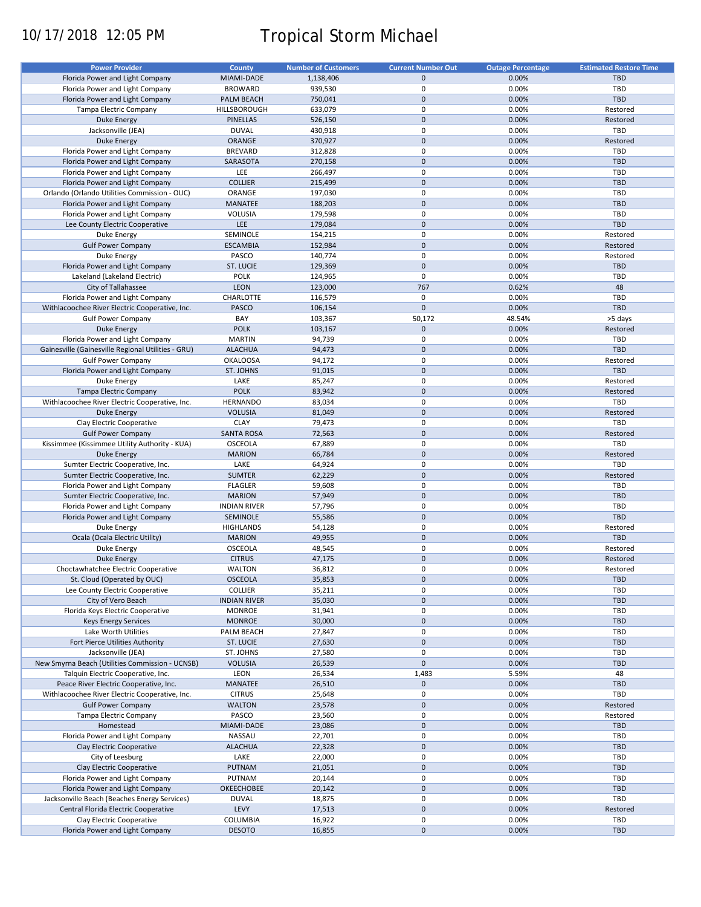# 10/17/2018 12:05 PM Tropical Storm Michael

| <b>Power Provider</b>                              | County              | <b>Number of Customers</b> | <b>Current Number Out</b> | <b>Outage Percentage</b> | <b>Estimated Restore Time</b> |
|----------------------------------------------------|---------------------|----------------------------|---------------------------|--------------------------|-------------------------------|
|                                                    |                     |                            |                           |                          |                               |
| Florida Power and Light Company                    | MIAMI-DADE          | 1,138,406                  | $\mathbf{0}$              | 0.00%                    | <b>TBD</b>                    |
| Florida Power and Light Company                    | <b>BROWARD</b>      | 939,530                    | $\mathbf 0$               | 0.00%                    | TBD                           |
| Florida Power and Light Company                    | PALM BEACH          | 750,041                    | $\mathbf{0}$              | 0.00%                    | TBD                           |
| Tampa Electric Company                             | HILLSBOROUGH        | 633,079                    | 0                         | 0.00%                    | Restored                      |
| <b>Duke Energy</b>                                 | <b>PINELLAS</b>     | 526,150                    | $\mathbf 0$               | 0.00%                    | Restored                      |
| Jacksonville (JEA)                                 | <b>DUVAL</b>        | 430,918                    | 0                         | 0.00%                    | TBD                           |
|                                                    |                     |                            |                           |                          |                               |
| <b>Duke Energy</b>                                 | <b>ORANGE</b>       | 370,927                    | $\mathbf{0}$              | 0.00%                    | Restored                      |
| Florida Power and Light Company                    | <b>BREVARD</b>      | 312,828                    | 0                         | 0.00%                    | TBD                           |
| Florida Power and Light Company                    | SARASOTA            | 270,158                    | $\mathbf 0$               | 0.00%                    | <b>TBD</b>                    |
| Florida Power and Light Company                    | LEE                 | 266,497                    | 0                         | 0.00%                    | TBD                           |
| Florida Power and Light Company                    | <b>COLLIER</b>      | 215,499                    | $\mathbf{0}$              | 0.00%                    | <b>TBD</b>                    |
| Orlando (Orlando Utilities Commission - OUC)       | ORANGE              | 197,030                    | $\mathbf 0$               | 0.00%                    | TBD                           |
| Florida Power and Light Company                    | <b>MANATEE</b>      |                            | $\mathbf{0}$              | 0.00%                    | <b>TBD</b>                    |
|                                                    |                     | 188,203                    |                           |                          |                               |
| Florida Power and Light Company                    | VOLUSIA             | 179,598                    | 0                         | 0.00%                    | TBD                           |
| Lee County Electric Cooperative                    | <b>LEE</b>          | 179,084                    | $\mathbf 0$               | 0.00%                    | <b>TBD</b>                    |
| Duke Energy                                        | SEMINOLE            | 154,215                    | 0                         | 0.00%                    | Restored                      |
| <b>Gulf Power Company</b>                          | <b>ESCAMBIA</b>     | 152,984                    | $\mathbf 0$               | 0.00%                    | Restored                      |
| Duke Energy                                        | PASCO               | 140,774                    | $\mathbf 0$               | 0.00%                    | Restored                      |
| Florida Power and Light Company                    | ST. LUCIE           | 129,369                    | $\mathbf 0$               | 0.00%                    | <b>TBD</b>                    |
|                                                    |                     |                            |                           |                          |                               |
| Lakeland (Lakeland Electric)                       | <b>POLK</b>         | 124,965                    | $\mathbf 0$               | 0.00%                    | <b>TBD</b>                    |
| City of Tallahassee                                | <b>LEON</b>         | 123,000                    | 767                       | 0.62%                    | 48                            |
| Florida Power and Light Company                    | <b>CHARLOTTE</b>    | 116,579                    | $\mathbf 0$               | 0.00%                    | TBD                           |
| Withlacoochee River Electric Cooperative, Inc.     | PASCO               | 106,154                    | $\mathbf 0$               | 0.00%                    | TBD                           |
| <b>Gulf Power Company</b>                          | BAY                 | 103,367                    | 50,172                    | 48.54%                   | >5 days                       |
| <b>Duke Energy</b>                                 | <b>POLK</b>         | 103,167                    | $\mathbf 0$               | 0.00%                    | Restored                      |
|                                                    |                     |                            |                           |                          |                               |
| Florida Power and Light Company                    | <b>MARTIN</b>       | 94,739                     | 0                         | 0.00%                    | TBD                           |
| Gainesville (Gainesville Regional Utilities - GRU) | <b>ALACHUA</b>      | 94,473                     | $\mathbf 0$               | 0.00%                    | <b>TBD</b>                    |
| <b>Gulf Power Company</b>                          | <b>OKALOOSA</b>     | 94,172                     | 0                         | 0.00%                    | Restored                      |
| Florida Power and Light Company                    | ST. JOHNS           | 91,015                     | $\mathbf 0$               | 0.00%                    | <b>TBD</b>                    |
| Duke Energy                                        | LAKE                | 85,247                     | 0                         | 0.00%                    | Restored                      |
| Tampa Electric Company                             | <b>POLK</b>         | 83,942                     | $\mathbf 0$               | 0.00%                    | Restored                      |
|                                                    |                     |                            |                           |                          |                               |
| Withlacoochee River Electric Cooperative, Inc.     | <b>HERNANDO</b>     | 83,034                     | 0                         | 0.00%                    | TBD                           |
| Duke Energy                                        | <b>VOLUSIA</b>      | 81,049                     | $\mathbf 0$               | 0.00%                    | Restored                      |
| Clay Electric Cooperative                          | <b>CLAY</b>         | 79,473                     | 0                         | 0.00%                    | TBD                           |
| <b>Gulf Power Company</b>                          | <b>SANTA ROSA</b>   | 72,563                     | $\mathbf 0$               | 0.00%                    | Restored                      |
| Kissimmee (Kissimmee Utility Authority - KUA)      | <b>OSCEOLA</b>      | 67,889                     | 0                         | 0.00%                    | TBD                           |
| <b>Duke Energy</b>                                 | <b>MARION</b>       | 66,784                     | $\mathbf{0}$              | 0.00%                    | Restored                      |
|                                                    |                     |                            | 0                         |                          | TBD                           |
| Sumter Electric Cooperative, Inc.                  | LAKE                | 64,924                     |                           | 0.00%                    |                               |
| Sumter Electric Cooperative, Inc.                  | <b>SUMTER</b>       | 62,229                     | $\mathbf 0$               | 0.00%                    | Restored                      |
| Florida Power and Light Company                    | <b>FLAGLER</b>      | 59,608                     | 0                         | 0.00%                    | TBD                           |
| Sumter Electric Cooperative, Inc.                  | <b>MARION</b>       | 57,949                     | $\mathbf{0}$              | 0.00%                    | <b>TBD</b>                    |
| Florida Power and Light Company                    | <b>INDIAN RIVER</b> | 57,796                     | 0                         | 0.00%                    | <b>TBD</b>                    |
| Florida Power and Light Company                    | SEMINOLE            | 55,586                     | $\mathbf{0}$              | 0.00%                    | <b>TBD</b>                    |
| Duke Energy                                        | <b>HIGHLANDS</b>    | 54,128                     | 0                         | 0.00%                    | Restored                      |
| Ocala (Ocala Electric Utility)                     | <b>MARION</b>       | 49,955                     | $\mathbf 0$               | 0.00%                    | <b>TBD</b>                    |
|                                                    |                     |                            |                           |                          |                               |
| Duke Energy                                        | OSCEOLA             | 48,545                     | 0                         | 0.00%                    | Restored                      |
| <b>Duke Energy</b>                                 | <b>CITRUS</b>       | 47,175                     | $\mathbf 0$               | 0.00%                    | Restored                      |
| Choctawhatchee Electric Cooperative                | <b>WALTON</b>       | 36,812                     | $\mathbf 0$               | 0.00%                    | Restored                      |
| St. Cloud (Operated by OUC)                        | <b>OSCEOLA</b>      | 35,853                     | $\mathbf 0$               | 0.00%                    | <b>TBD</b>                    |
| Lee County Electric Cooperative                    | <b>COLLIER</b>      | 35,211                     | 0                         | 0.00%                    | TBD                           |
| City of Vero Beach                                 | <b>INDIAN RIVER</b> | 35,030                     | $\mathsf{O}\xspace$       | 0.00%                    | TBD                           |
|                                                    |                     |                            | 0                         | 0.00%                    | TBD                           |
| Florida Keys Electric Cooperative                  | <b>MONROE</b>       | 31,941                     |                           |                          |                               |
| <b>Keys Energy Services</b>                        | <b>MONROE</b>       | 30,000                     | $\mathbf 0$               | 0.00%                    | TBD                           |
| Lake Worth Utilities                               | PALM BEACH          | 27,847                     | 0                         | 0.00%                    | TBD                           |
| Fort Pierce Utilities Authority                    | <b>ST. LUCIE</b>    | 27,630                     | $\mathsf{O}\xspace$       | 0.00%                    | TBD                           |
| Jacksonville (JEA)                                 | ST. JOHNS           | 27,580                     | 0                         | 0.00%                    | TBD                           |
| New Smyrna Beach (Utilities Commission - UCNSB)    | <b>VOLUSIA</b>      | 26,539                     | $\pmb{0}$                 | 0.00%                    | TBD                           |
| Talquin Electric Cooperative, Inc.                 | LEON                | 26,534                     | 1,483                     | 5.59%                    | 48                            |
|                                                    |                     |                            |                           |                          |                               |
| Peace River Electric Cooperative, Inc.             | MANATEE             | 26,510                     | $\mathsf{O}\xspace$       | 0.00%                    | <b>TBD</b>                    |
| Withlacoochee River Electric Cooperative, Inc.     | <b>CITRUS</b>       | 25,648                     | 0                         | 0.00%                    | TBD                           |
| <b>Gulf Power Company</b>                          | <b>WALTON</b>       | 23,578                     | $\mathbf 0$               | 0.00%                    | Restored                      |
| Tampa Electric Company                             | PASCO               | 23,560                     | 0                         | 0.00%                    | Restored                      |
| Homestead                                          | MIAMI-DADE          | 23,086                     | $\pmb{0}$                 | 0.00%                    | TBD                           |
| Florida Power and Light Company                    | NASSAU              | 22,701                     | 0                         | 0.00%                    | TBD                           |
| Clay Electric Cooperative                          | <b>ALACHUA</b>      | 22,328                     | $\pmb{0}$                 | 0.00%                    | TBD                           |
|                                                    |                     |                            |                           |                          |                               |
| City of Leesburg                                   | LAKE                | 22,000                     | 0                         | 0.00%                    | TBD                           |
| Clay Electric Cooperative                          | PUTNAM              | 21,051                     | $\pmb{0}$                 | 0.00%                    | TBD                           |
| Florida Power and Light Company                    | PUTNAM              | 20,144                     | 0                         | 0.00%                    | TBD                           |
| Florida Power and Light Company                    | OKEECHOBEE          | 20,142                     | $\pmb{0}$                 | 0.00%                    | TBD                           |
| Jacksonville Beach (Beaches Energy Services)       | <b>DUVAL</b>        | 18,875                     | 0                         | 0.00%                    | TBD                           |
| Central Florida Electric Cooperative               | LEVY                | 17,513                     | $\pmb{0}$                 | 0.00%                    | Restored                      |
| Clay Electric Cooperative                          | COLUMBIA            | 16,922                     | 0                         | 0.00%                    | TBD                           |
|                                                    |                     |                            |                           |                          |                               |
| Florida Power and Light Company                    | <b>DESOTO</b>       | 16,855                     | $\mathsf{O}\xspace$       | 0.00%                    | TBD                           |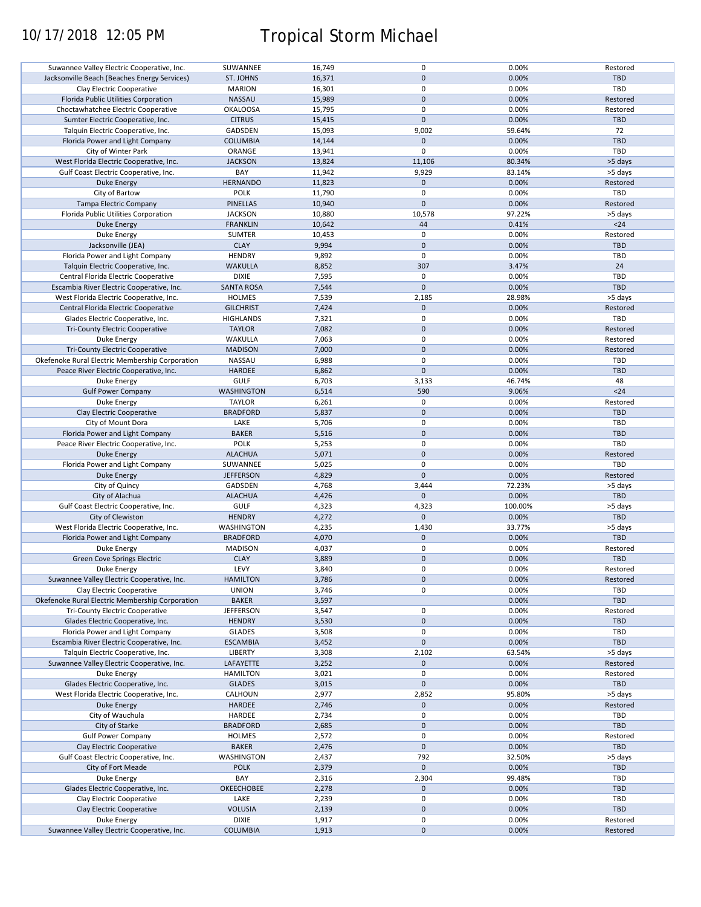# 10/17/2018 12:05 PM Tropical Storm Michael

| Suwannee Valley Electric Cooperative, Inc.      | SUWANNEE          | 16,749 | $\pmb{0}$    | 0.00%   | Restored   |
|-------------------------------------------------|-------------------|--------|--------------|---------|------------|
| Jacksonville Beach (Beaches Energy Services)    | ST. JOHNS         | 16,371 | $\mathbf{0}$ | 0.00%   | <b>TBD</b> |
| Clay Electric Cooperative                       | <b>MARION</b>     | 16,301 | $\pmb{0}$    | 0.00%   | <b>TBD</b> |
| Florida Public Utilities Corporation            | <b>NASSAU</b>     | 15,989 | $\mathbf 0$  | 0.00%   | Restored   |
| Choctawhatchee Electric Cooperative             | <b>OKALOOSA</b>   | 15,795 | $\pmb{0}$    | 0.00%   | Restored   |
| Sumter Electric Cooperative, Inc.               | <b>CITRUS</b>     | 15,415 | $\pmb{0}$    | 0.00%   | <b>TBD</b> |
| Talquin Electric Cooperative, Inc.              | GADSDEN           | 15,093 | 9,002        | 59.64%  | 72         |
|                                                 |                   |        | $\mathbf 0$  | 0.00%   | <b>TBD</b> |
| Florida Power and Light Company                 | <b>COLUMBIA</b>   | 14,144 |              |         |            |
| City of Winter Park                             | ORANGE            | 13,941 | $\mathbf 0$  | 0.00%   | TBD        |
| West Florida Electric Cooperative, Inc.         | <b>JACKSON</b>    | 13,824 | 11,106       | 80.34%  | >5 days    |
| Gulf Coast Electric Cooperative, Inc.           | BAY               | 11,942 | 9,929        | 83.14%  | >5 days    |
| <b>Duke Energy</b>                              | <b>HERNANDO</b>   | 11,823 | $\pmb{0}$    | 0.00%   | Restored   |
| City of Bartow                                  | <b>POLK</b>       | 11,790 | $\pmb{0}$    | 0.00%   | <b>TBD</b> |
| <b>Tampa Electric Company</b>                   | <b>PINELLAS</b>   | 10,940 | $\pmb{0}$    | 0.00%   | Restored   |
|                                                 |                   |        |              | 97.22%  |            |
| Florida Public Utilities Corporation            | <b>JACKSON</b>    | 10,880 | 10,578       |         | >5 days    |
| Duke Energy                                     | <b>FRANKLIN</b>   | 10,642 | 44           | 0.41%   | $24$       |
| Duke Energy                                     | <b>SUMTER</b>     | 10,453 | $\mathbf 0$  | 0.00%   | Restored   |
| Jacksonville (JEA)                              | <b>CLAY</b>       | 9,994  | $\pmb{0}$    | 0.00%   | <b>TBD</b> |
| Florida Power and Light Company                 | <b>HENDRY</b>     | 9,892  | $\pmb{0}$    | 0.00%   | TBD        |
| Talquin Electric Cooperative, Inc.              | <b>WAKULLA</b>    | 8,852  | 307          | 3.47%   | 24         |
| Central Florida Electric Cooperative            | <b>DIXIE</b>      | 7,595  | $\mathbf 0$  | 0.00%   | <b>TBD</b> |
|                                                 |                   |        | $\mathbf 0$  |         | <b>TBD</b> |
| Escambia River Electric Cooperative, Inc.       | <b>SANTA ROSA</b> | 7,544  |              | 0.00%   |            |
| West Florida Electric Cooperative, Inc.         | <b>HOLMES</b>     | 7,539  | 2,185        | 28.98%  | >5 days    |
| Central Florida Electric Cooperative            | <b>GILCHRIST</b>  | 7,424  | $\mathbf 0$  | 0.00%   | Restored   |
| Glades Electric Cooperative, Inc.               | <b>HIGHLANDS</b>  | 7,321  | $\pmb{0}$    | 0.00%   | TBD        |
| Tri-County Electric Cooperative                 | <b>TAYLOR</b>     | 7,082  | $\pmb{0}$    | 0.00%   | Restored   |
| Duke Energy                                     | WAKULLA           | 7,063  | $\pmb{0}$    | 0.00%   | Restored   |
| <b>Tri-County Electric Cooperative</b>          | <b>MADISON</b>    | 7,000  | $\mathbf 0$  | 0.00%   | Restored   |
| Okefenoke Rural Electric Membership Corporation | NASSAU            | 6,988  | $\pmb{0}$    | 0.00%   | <b>TBD</b> |
|                                                 |                   |        |              |         |            |
| Peace River Electric Cooperative, Inc.          | <b>HARDEE</b>     | 6,862  | $\pmb{0}$    | 0.00%   | <b>TBD</b> |
| Duke Energy                                     | <b>GULF</b>       | 6,703  | 3,133        | 46.74%  | 48         |
| <b>Gulf Power Company</b>                       | <b>WASHINGTON</b> | 6,514  | 590          | 9.06%   | $24$       |
| Duke Energy                                     | <b>TAYLOR</b>     | 6,261  | 0            | 0.00%   | Restored   |
| Clay Electric Cooperative                       | <b>BRADFORD</b>   | 5,837  | $\mathbf 0$  | 0.00%   | <b>TBD</b> |
| City of Mount Dora                              | LAKE              | 5,706  | $\pmb{0}$    | 0.00%   | <b>TBD</b> |
| Florida Power and Light Company                 | <b>BAKER</b>      | 5,516  | $\mathbf 0$  | 0.00%   | <b>TBD</b> |
|                                                 |                   |        | $\pmb{0}$    |         |            |
| Peace River Electric Cooperative, Inc.          | POLK              | 5,253  |              | 0.00%   | <b>TBD</b> |
| <b>Duke Energy</b>                              | <b>ALACHUA</b>    | 5,071  | $\pmb{0}$    | 0.00%   | Restored   |
| Florida Power and Light Company                 | SUWANNEE          | 5,025  | 0            | 0.00%   | TBD        |
| <b>Duke Energy</b>                              | <b>JEFFERSON</b>  | 4,829  | $\mathbf{0}$ | 0.00%   | Restored   |
| City of Quincy                                  | GADSDEN           | 4,768  | 3,444        | 72.23%  | >5 days    |
| City of Alachua                                 | <b>ALACHUA</b>    | 4,426  | $\mathbf{0}$ | 0.00%   | <b>TBD</b> |
| Gulf Coast Electric Cooperative, Inc.           | <b>GULF</b>       | 4,323  | 4,323        | 100.00% | >5 days    |
| City of Clewiston                               | <b>HENDRY</b>     |        | $\pmb{0}$    | 0.00%   | <b>TBD</b> |
|                                                 |                   | 4,272  |              |         |            |
| West Florida Electric Cooperative, Inc.         | <b>WASHINGTON</b> | 4,235  | 1,430        | 33.77%  | >5 days    |
| Florida Power and Light Company                 | <b>BRADFORD</b>   | 4,070  | $\pmb{0}$    | 0.00%   | <b>TBD</b> |
| <b>Duke Energy</b>                              | <b>MADISON</b>    | 4,037  | $\pmb{0}$    | 0.00%   | Restored   |
| Green Cove Springs Electric                     | <b>CLAY</b>       | 3,889  | $\pmb{0}$    | 0.00%   | <b>TBD</b> |
| Duke Energy                                     | LEVY              | 3,840  | $\Omega$     | 0.00%   | Restored   |
| Suwannee Valley Electric Cooperative, Inc.      | <b>HAMILTON</b>   | 3,786  | $\pmb{0}$    | 0.00%   | Restored   |
|                                                 |                   |        |              |         |            |
| Clay Electric Cooperative                       | <b>UNION</b>      | 3,746  | 0            | 0.00%   | TBD        |
| Okefenoke Rural Electric Membership Corporation | <b>BAKER</b>      | 3,597  |              | 0.00%   | <b>TBD</b> |
| <b>Tri-County Electric Cooperative</b>          | <b>JEFFERSON</b>  | 3,547  | 0            | 0.00%   | Restored   |
| Glades Electric Cooperative, Inc.               | <b>HENDRY</b>     | 3,530  | $\pmb{0}$    | 0.00%   | <b>TBD</b> |
| Florida Power and Light Company                 | <b>GLADES</b>     | 3,508  | 0            | 0.00%   | TBD        |
| Escambia River Electric Cooperative, Inc.       | <b>ESCAMBIA</b>   | 3,452  | $\mathbf 0$  | 0.00%   | TBD        |
| Talquin Electric Cooperative, Inc.              | <b>LIBERTY</b>    | 3,308  | 2,102        | 63.54%  | >5 days    |
| Suwannee Valley Electric Cooperative, Inc.      | LAFAYETTE         | 3,252  | $\mathbf 0$  | 0.00%   | Restored   |
|                                                 | <b>HAMILTON</b>   |        | $\pmb{0}$    |         | Restored   |
| Duke Energy                                     |                   | 3,021  |              | 0.00%   |            |
| Glades Electric Cooperative, Inc.               | <b>GLADES</b>     | 3,015  | $\pmb{0}$    | 0.00%   | TBD        |
| West Florida Electric Cooperative, Inc.         | CALHOUN           | 2,977  | 2,852        | 95.80%  | >5 days    |
| Duke Energy                                     | HARDEE            | 2,746  | 0            | 0.00%   | Restored   |
| City of Wauchula                                | HARDEE            | 2,734  | $\pmb{0}$    | 0.00%   | TBD        |
| City of Starke                                  | <b>BRADFORD</b>   | 2,685  | $\pmb{0}$    | 0.00%   | <b>TBD</b> |
| <b>Gulf Power Company</b>                       | <b>HOLMES</b>     | 2,572  | $\pmb{0}$    | 0.00%   | Restored   |
|                                                 |                   |        |              |         |            |
| Clay Electric Cooperative                       | <b>BAKER</b>      | 2,476  | $\pmb{0}$    | 0.00%   | TBD        |
| Gulf Coast Electric Cooperative, Inc.           | WASHINGTON        | 2,437  | 792          | 32.50%  | >5 days    |
| City of Fort Meade                              | <b>POLK</b>       | 2,379  | $\pmb{0}$    | 0.00%   | <b>TBD</b> |
| Duke Energy                                     | BAY               | 2,316  | 2,304        | 99.48%  | TBD        |
| Glades Electric Cooperative, Inc.               | OKEECHOBEE        | 2,278  | 0            | 0.00%   | TBD        |
| Clay Electric Cooperative                       | LAKE              | 2,239  | 0            | 0.00%   | TBD        |
| Clay Electric Cooperative                       | <b>VOLUSIA</b>    | 2,139  | $\pmb{0}$    | 0.00%   | TBD        |
|                                                 |                   |        | $\pmb{0}$    | 0.00%   |            |
| Duke Energy                                     | <b>DIXIE</b>      | 1,917  |              |         | Restored   |
| Suwannee Valley Electric Cooperative, Inc.      | <b>COLUMBIA</b>   | 1,913  | $\pmb{0}$    | 0.00%   | Restored   |